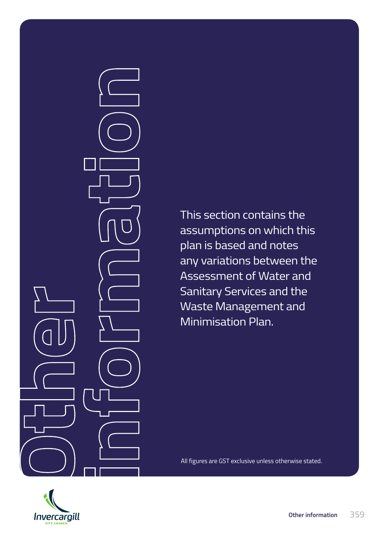This section contains the assumptions on which this plan is based and notes any variations between the Assessment of Water and Sanitary Services and the Waste Management and Minimisation Plan.

All figures are GST exclusive unless otherwise stated.

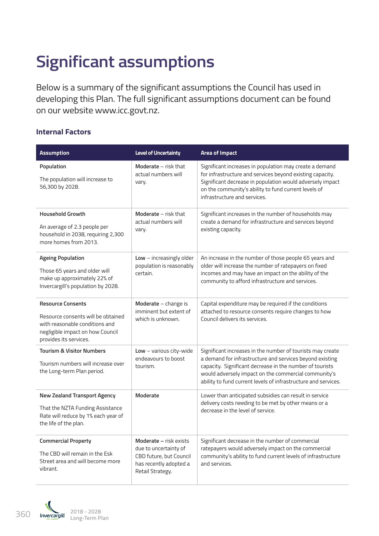# **Significant assumptions**

Below is a summary of the significant assumptions the Council has used in developing this Plan. The full significant assumptions document can be found on our website www.icc.govt.nz.

#### **Internal Factors**

| <b>Assumption</b>                                                                                                                                              | <b>Level of Uncertainty</b>                                                                                              | <b>Area of Impact</b>                                                                                                                                                                                                                                                                                        |
|----------------------------------------------------------------------------------------------------------------------------------------------------------------|--------------------------------------------------------------------------------------------------------------------------|--------------------------------------------------------------------------------------------------------------------------------------------------------------------------------------------------------------------------------------------------------------------------------------------------------------|
| Population<br>The population will increase to<br>56,300 by 2028.                                                                                               | Moderate - risk that<br>actual numbers will<br>vary.                                                                     | Significant increases in population may create a demand<br>for infrastructure and services beyond existing capacity.<br>Significant decrease in population would adversely impact<br>on the community's ability to fund current levels of<br>infrastructure and services.                                    |
| <b>Household Growth</b><br>An average of 2.3 people per<br>household in 2038, requiring 2,300<br>more homes from 2013.                                         | Moderate - risk that<br>actual numbers will<br>vary.                                                                     | Significant increases in the number of households may<br>create a demand for infrastructure and services beyond<br>existing capacity.                                                                                                                                                                        |
| <b>Ageing Population</b><br>Those 65 years and older will<br>make up approximately 22% of<br>Invercargill's population by 2028.                                | $Low - increasingly older$<br>population is reasonably<br>certain.                                                       | An increase in the number of those people 65 years and<br>older will increase the number of ratepayers on fixed<br>incomes and may have an impact on the ability of the<br>community to afford infrastructure and services.                                                                                  |
| <b>Resource Consents</b><br>Resource consents will be obtained<br>with reasonable conditions and<br>negligible impact on how Council<br>provides its services. | Moderate - change is<br>imminent but extent of<br>which is unknown.                                                      | Capital expenditure may be required if the conditions<br>attached to resource consents require changes to how<br>Council delivers its services.                                                                                                                                                              |
| <b>Tourism &amp; Visitor Numbers</b><br>Tourism numbers will increase over<br>the Long-term Plan period.                                                       | $Low - various city-wide$<br>endeavours to boost<br>tourism.                                                             | Significant increases in the number of tourists may create<br>a demand for infrastructure and services beyond existing<br>capacity. Significant decrease in the number of tourists<br>would adversely impact on the commercial community's<br>ability to fund current levels of infrastructure and services. |
| <b>New Zealand Transport Agency</b><br>That the NZTA Funding Assistance<br>Rate will reduce by 1% each year of<br>the life of the plan.                        | Moderate                                                                                                                 | Lower than anticipated subsidies can result in service<br>delivery costs needing to be met by other means or a<br>decrease in the level of service.                                                                                                                                                          |
| <b>Commercial Property</b><br>The CBD will remain in the Esk<br>Street area and will become more<br>vibrant.                                                   | Moderate - risk exists<br>due to uncertainty of<br>CBD future, but Council<br>has recently adopted a<br>Retail Strategy. | Significant decrease in the number of commercial<br>ratepayers would adversely impact on the commercial<br>community's ability to fund current levels of infrastructure<br>and services.                                                                                                                     |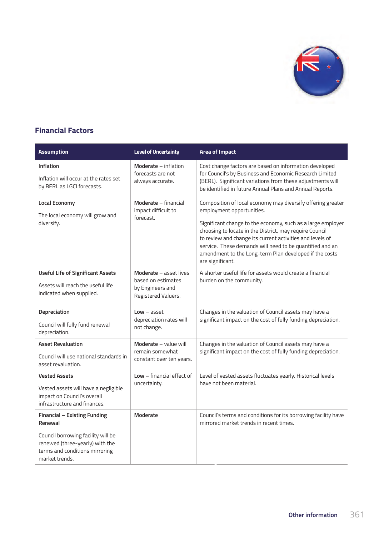

### **Financial Factors**

| <b>Assumption</b>                                                                                                                                                           | <b>Level of Uncertainty</b>                                                             | <b>Area of Impact</b>                                                                                                                                                                                                                                                                                                                                                                                                     |
|-----------------------------------------------------------------------------------------------------------------------------------------------------------------------------|-----------------------------------------------------------------------------------------|---------------------------------------------------------------------------------------------------------------------------------------------------------------------------------------------------------------------------------------------------------------------------------------------------------------------------------------------------------------------------------------------------------------------------|
| Inflation<br>Inflation will occur at the rates set<br>by BERL as LGCI forecasts.                                                                                            | Moderate - inflation<br>forecasts are not<br>always accurate.                           | Cost change factors are based on information developed<br>for Council's by Business and Economic Research Limited<br>(BERL). Significant variations from these adjustments will<br>be identified in future Annual Plans and Annual Reports.                                                                                                                                                                               |
| <b>Local Economy</b><br>The local economy will grow and<br>diversify.                                                                                                       | Moderate - financial<br>impact difficult to<br>forecast.                                | Composition of local economy may diversify offering greater<br>employment opportunities.<br>Significant change to the economy, such as a large employer<br>choosing to locate in the District, may require Council<br>to review and change its current activities and levels of<br>service. These demands will need to be quantified and an<br>amendment to the Long-term Plan developed if the costs<br>are significant. |
| <b>Useful Life of Significant Assets</b><br>Assets will reach the useful life<br>indicated when supplied.                                                                   | Moderate - asset lives<br>based on estimates<br>by Engineers and<br>Registered Valuers. | A shorter useful life for assets would create a financial<br>burden on the community.                                                                                                                                                                                                                                                                                                                                     |
| Depreciation<br>Council will fully fund renewal<br>depreciation.                                                                                                            | $Low - asset$<br>depreciation rates will<br>not change.                                 | Changes in the valuation of Council assets may have a<br>significant impact on the cost of fully funding depreciation.                                                                                                                                                                                                                                                                                                    |
| <b>Asset Revaluation</b><br>Council will use national standards in<br>asset revaluation.                                                                                    | Moderate - value will<br>remain somewhat<br>constant over ten years.                    | Changes in the valuation of Council assets may have a<br>significant impact on the cost of fully funding depreciation.                                                                                                                                                                                                                                                                                                    |
| <b>Vested Assets</b><br>Vested assets will have a negligible<br>impact on Council's overall<br>infrastructure and finances.                                                 | $Low - financial effect of$<br>uncertainty.                                             | Level of vested assets fluctuates yearly. Historical levels<br>have not been material.                                                                                                                                                                                                                                                                                                                                    |
| <b>Financial - Existing Funding</b><br>Renewal<br>Council borrowing facility will be<br>renewed (three-yearly) with the<br>terms and conditions mirroring<br>market trends. | <b>Moderate</b>                                                                         | Council's terms and conditions for its borrowing facility have<br>mirrored market trends in recent times.                                                                                                                                                                                                                                                                                                                 |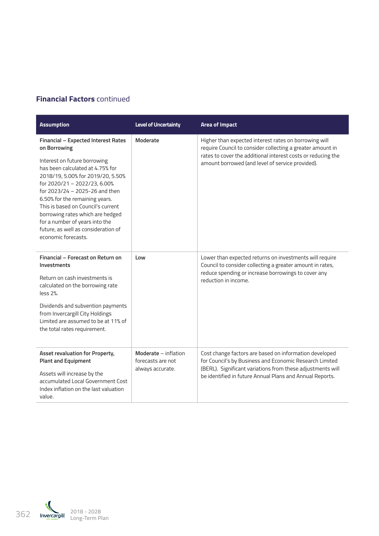#### **Financial Factors** continued

| <b>Assumption</b>                                                                                                                                                                                                                                                                                                                                                                   | Level of Uncertainty                                          | <b>Area of Impact</b>                                                                                                                                                                                                                       |
|-------------------------------------------------------------------------------------------------------------------------------------------------------------------------------------------------------------------------------------------------------------------------------------------------------------------------------------------------------------------------------------|---------------------------------------------------------------|---------------------------------------------------------------------------------------------------------------------------------------------------------------------------------------------------------------------------------------------|
| Financial - Expected Interest Rates<br>on Borrowing                                                                                                                                                                                                                                                                                                                                 | Moderate                                                      | Higher than expected interest rates on borrowing will<br>require Council to consider collecting a greater amount in                                                                                                                         |
| Interest on future borrowing<br>has been calculated at 4.75% for<br>2018/19, 5.00% for 2019/20, 5.50%<br>for 2020/21 - 2022/23, 6.00%<br>for 2023/24 - 2025-26 and then<br>6.50% for the remaining years.<br>This is based on Council's current<br>borrowing rates which are hedged<br>for a number of years into the<br>future, as well as consideration of<br>economic forecasts. |                                                               | rates to cover the additional interest costs or reducing the<br>amount borrowed (and level of service provided).                                                                                                                            |
| Financial - Forecast on Return on<br>Investments                                                                                                                                                                                                                                                                                                                                    | Low                                                           | Lower than expected returns on investments will require<br>Council to consider collecting a greater amount in rates,                                                                                                                        |
| Return on cash investments is<br>calculated on the borrowing rate<br>$less 2\%$ .                                                                                                                                                                                                                                                                                                   |                                                               | reduce spending or increase borrowings to cover any<br>reduction in income.                                                                                                                                                                 |
| Dividends and subvention payments<br>from Invercargill City Holdings<br>Limited are assumed to be at 11% of<br>the total rates requirement.                                                                                                                                                                                                                                         |                                                               |                                                                                                                                                                                                                                             |
| Asset revaluation for Property,                                                                                                                                                                                                                                                                                                                                                     | Moderate - inflation<br>forecasts are not<br>always accurate. | Cost change factors are based on information developed<br>for Council's by Business and Economic Research Limited<br>(BERL). Significant variations from these adjustments will<br>be identified in future Annual Plans and Annual Reports. |
| <b>Plant and Equipment</b>                                                                                                                                                                                                                                                                                                                                                          |                                                               |                                                                                                                                                                                                                                             |
| Assets will increase by the<br>accumulated Local Government Cost                                                                                                                                                                                                                                                                                                                    |                                                               |                                                                                                                                                                                                                                             |
| Index inflation on the last valuation                                                                                                                                                                                                                                                                                                                                               |                                                               |                                                                                                                                                                                                                                             |
| value.                                                                                                                                                                                                                                                                                                                                                                              |                                                               |                                                                                                                                                                                                                                             |

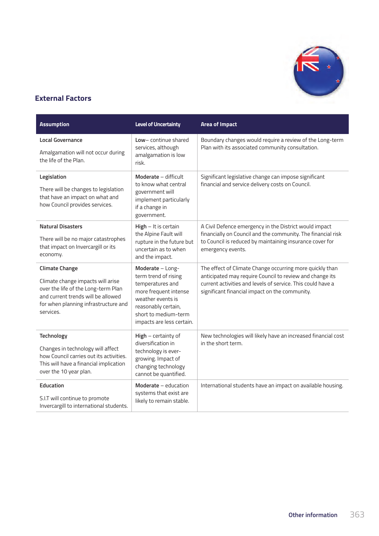

### **External Factors**

| <b>Assumption</b>                                                                                                                                                                            | <b>Level of Uncertainty</b>                                                                                                                                                            | <b>Area of Impact</b>                                                                                                                                                                                                                 |
|----------------------------------------------------------------------------------------------------------------------------------------------------------------------------------------------|----------------------------------------------------------------------------------------------------------------------------------------------------------------------------------------|---------------------------------------------------------------------------------------------------------------------------------------------------------------------------------------------------------------------------------------|
| <b>Local Governance</b><br>Amalgamation will not occur during<br>the life of the Plan.                                                                                                       | Low-continue shared<br>services, although<br>amalgamation is low<br>risk.                                                                                                              | Boundary changes would require a review of the Long-term<br>Plan with its associated community consultation.                                                                                                                          |
| Legislation<br>There will be changes to legislation<br>that have an impact on what and<br>how Council provides services.                                                                     | Moderate - difficult<br>to know what central<br>government will<br>implement particularly<br>if a change in<br>government.                                                             | Significant legislative change can impose significant<br>financial and service delivery costs on Council.                                                                                                                             |
| <b>Natural Disasters</b><br>There will be no major catastrophes<br>that impact on Invercargill or its<br>economy.                                                                            | High - It is certain<br>the Alpine Fault will<br>rupture in the future but<br>uncertain as to when<br>and the impact.                                                                  | A Civil Defence emergency in the District would impact<br>financially on Council and the community. The financial risk<br>to Council is reduced by maintaining insurance cover for<br>emergency events.                               |
| <b>Climate Change</b><br>Climate change impacts will arise<br>over the life of the Long-term Plan<br>and current trends will be allowed<br>for when planning infrastructure and<br>services. | Moderate - Long-<br>term trend of rising<br>temperatures and<br>more frequent intense<br>weather events is<br>reasonably certain,<br>short to medium-term<br>impacts are less certain. | The effect of Climate Change occurring more quickly than<br>anticipated may require Council to review and change its<br>current activities and levels of service. This could have a<br>significant financial impact on the community. |
| Technology<br>Changes in technology will affect<br>how Council carries out its activities.<br>This will have a financial implication<br>over the 10 year plan.                               | High - certainty of<br>diversification in<br>technology is ever-<br>growing. Impact of<br>changing technology<br>cannot be quantified.                                                 | New technologies will likely have an increased financial cost<br>in the short term.                                                                                                                                                   |
| Education<br>S.I.T will continue to promote<br>Invercargill to international students.                                                                                                       | Moderate - education<br>systems that exist are<br>likely to remain stable.                                                                                                             | International students have an impact on available housing.                                                                                                                                                                           |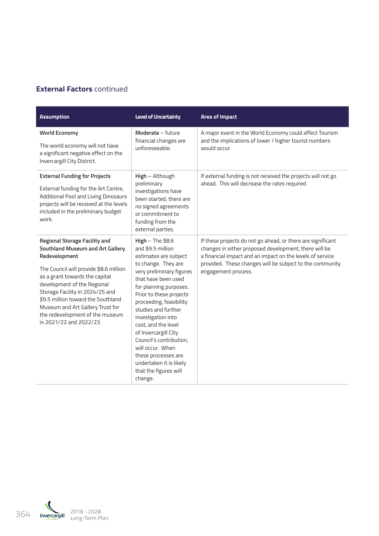### **External Factors** continued

| <b>Assumption</b>                                                                                                                                                                                                                                                                                                                                                               | <b>Level of Uncertainty</b>                                                                                                                                                                                                                                                                                                                                                                                                                                 | <b>Area of Impact</b>                                                                                                                                                                                                                                                |
|---------------------------------------------------------------------------------------------------------------------------------------------------------------------------------------------------------------------------------------------------------------------------------------------------------------------------------------------------------------------------------|-------------------------------------------------------------------------------------------------------------------------------------------------------------------------------------------------------------------------------------------------------------------------------------------------------------------------------------------------------------------------------------------------------------------------------------------------------------|----------------------------------------------------------------------------------------------------------------------------------------------------------------------------------------------------------------------------------------------------------------------|
| <b>World Economy</b><br>The world economy will not have<br>a significant negative effect on the<br>Invercargill City District.                                                                                                                                                                                                                                                  | Moderate - future<br>financial changes are<br>unforeseeable.                                                                                                                                                                                                                                                                                                                                                                                                | A major event in the World Economy could affect Tourism<br>and the implications of lower / higher tourist numbers<br>would occur.                                                                                                                                    |
| <b>External Funding for Projects</b><br>External funding for the Art Centre,<br>Additional Pool and Living Dinosaurs<br>projects will be received at the levels<br>included in the preliminary budget<br>work.                                                                                                                                                                  | High - Although<br>preliminary<br>investigations have<br>been started, there are<br>no signed agreements<br>or commitment to<br>funding from the<br>external parties.                                                                                                                                                                                                                                                                                       | If external funding is not received the projects will not go<br>ahead. This will decrease the rates required.                                                                                                                                                        |
| <b>Regional Storage Facility and</b><br>Southland Museum and Art Gallery<br>Redevelopment<br>The Council will provide \$8.6 million<br>as a grant towards the capital<br>development of the Regional<br>Storage Facility in 2024/25 and<br>\$9.5 million toward the Southland<br>Museum and Art Gallery Trust for<br>the redevelopment of the museum<br>in 2021/22 and 2022/23. | $High$ – The \$8.6<br>and \$9.5 million<br>estimates are subject<br>to change. They are<br>very preliminary figures<br>that have been used<br>for planning purposes.<br>Prior to these projects<br>proceeding, feasibility<br>studies and further<br>investigation into<br>cost, and the level<br>of Invercargill City<br>Council's contribution,<br>will occur. When<br>these processes are<br>undertaken it is likely<br>that the figures will<br>change. | If these projects do not go ahead, or there are significant<br>changes in either proposed development, there will be<br>a financial impact and an impact on the levels of service<br>provided. These changes will be subject to the community<br>engagement process. |

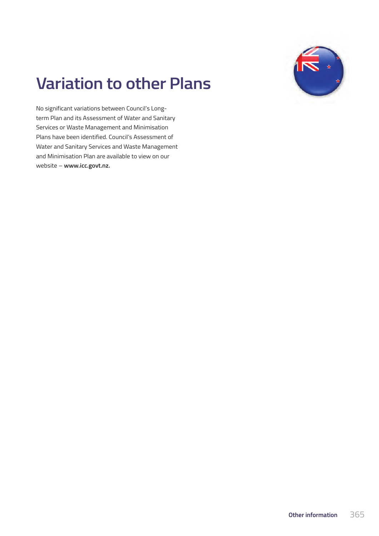

# **Variation to other Plans**

No significant variations between Council's Longterm Plan and its Assessment of Water and Sanitary Services or Waste Management and Minimisation Plans have been identified. Council's Assessment of Water and Sanitary Services and Waste Management and Minimisation Plan are available to view on our website – **www.icc.govt.nz.**